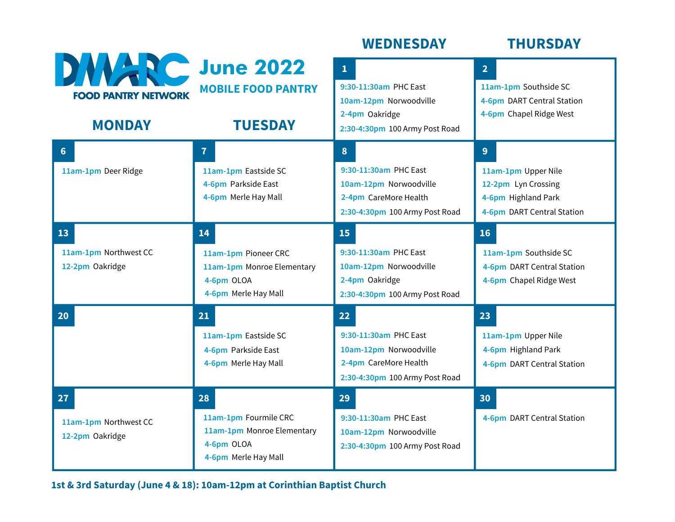|                                                                       |                                                                                                 | <b>WEDNESDAY</b>                                                                                                             | <b>THURSDAY</b>                                                                                      |
|-----------------------------------------------------------------------|-------------------------------------------------------------------------------------------------|------------------------------------------------------------------------------------------------------------------------------|------------------------------------------------------------------------------------------------------|
| <b>DWARC June 2022</b><br><b>FOOD PANTRY NETWORK</b><br><b>MONDAY</b> | <b>MOBILE FOOD PANTRY</b><br><b>TUESDAY</b>                                                     | $\mathbf{1}$<br>9:30-11:30am PHC East<br>10am-12pm Norwoodville<br>2-4pm Oakridge<br>2:30-4:30pm 100 Army Post Road          | 2 <sup>1</sup><br>11am-1pm Southside SC<br>4-6pm DART Central Station<br>4-6pm Chapel Ridge West     |
| $6\phantom{1}$<br>11am-1pm Deer Ridge                                 | $\overline{7}$<br>11am-1pm Eastside SC<br>4-6pm Parkside East<br>4-6pm Merle Hay Mall           | 8 <sup>°</sup><br>9:30-11:30am PHC East<br>10am-12pm Norwoodville<br>2-4pm CareMore Health<br>2:30-4:30pm 100 Army Post Road | 9<br>11am-1pm Upper Nile<br>12-2pm Lyn Crossing<br>4-6pm Highland Park<br>4-6pm DART Central Station |
| 13<br>11am-1pm Northwest CC<br>12-2pm Oakridge                        | 14<br>11am-1pm Pioneer CRC<br>11am-1pm Monroe Elementary<br>4-6pm OLOA<br>4-6pm Merle Hay Mall  | 15<br>9:30-11:30am PHC East<br>10am-12pm Norwoodville<br>2-4pm Oakridge<br>2:30-4:30pm 100 Army Post Road                    | 16<br>11am-1pm Southside SC<br>4-6pm DART Central Station<br>4-6pm Chapel Ridge West                 |
| 20                                                                    | 21<br>11am-1pm Eastside SC<br>4-6pm Parkside East<br>4-6pm Merle Hay Mall                       | 22<br>9:30-11:30am PHC East<br>10am-12pm Norwoodville<br>2-4pm CareMore Health<br>2:30-4:30pm 100 Army Post Road             | 23<br>11am-1pm Upper Nile<br>4-6pm Highland Park<br>4-6pm DART Central Station                       |
| 27<br>11am-1pm Northwest CC<br>12-2pm Oakridge                        | 28<br>11am-1pm Fourmile CRC<br>11am-1pm Monroe Elementary<br>4-6pm OLOA<br>4-6pm Merle Hay Mall | 29<br>9:30-11:30am PHC East<br>10am-12pm Norwoodville<br>2:30-4:30pm 100 Army Post Road                                      | 30<br>4-6pm DART Central Station                                                                     |

**1st & 3rd Saturday (June 4 & 18): 10am-12pm at Corinthian Baptist Church**